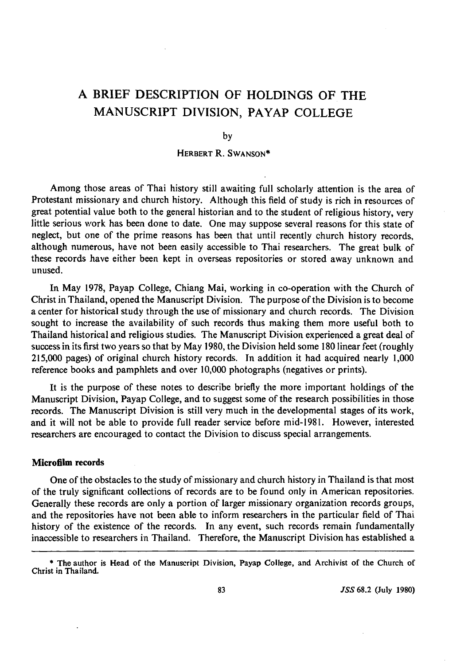# A BRIEF DESCRIPTION OF HOLDINGS OF THE MANUSCRIPT DIVISION, PAYAP COLLEGE

#### by

# HERBERT R. SWANSON\*

Among those areas of Thai history still awaiting full scholarly attention is the area of Protestant missionary and church history. Although this field of study is rich in resources of great potential value both to the general historian and to the student of religious history, very little serious work has been done to date. One may suppose several reasons for this state of neglect, but one of the prime reasons has been that until recently church history records, although numerous, have not been easily accessible to Thai researchers. The great bulk of these records have either been kept in overseas repositories or stored away unknown and unused.

In May 1978, Payap College, Chiang Mai, working in co-operation with the Church of Christ in Thailand, opened the Manuscript Division. The purpose of the Division is to become a center for historical study through the use of missionary and church records. The Division sought to increase the availability of such records thus making them more useful both to Thailand historical and religious studies. The Manuscript Division experienced a great deal of success in its first two years so that by May 1980, the Division held some 180 linear feet (roughly 215,000 pages) of original church history records. In addition it had acquired nearly 1,000 reference books and pamphlets and over 10,000 photographs (negatives or prints).

It is the purpose of these notes to describe briefly the more important holdings of the Manuscript Division, Payap College, and to suggest some of the research possibilities in those records. The Manuscript Division is still very much in the developmental stages of its work, and it will not be able to provide full reader service before mid-1981. However, interested researchers are encouraged to contact the Division to discuss special arrangements.

## Microfilm records

One of the obstacles to the study of missionary and church history in Thailand is that most of the truly significant collections of records are to be found only in American repositories. Generally these records are only a portion of larger missionary organization records groups, and the repositories have not been able to inform researchers in the particular field of Thai history of the existence of the records. In any event, such records remain fundamentally inaccessible to researchers in Thailand. Therefore, the Manuscript Division has established a

<sup>\*</sup> The author is Head of the Manuscript Division, Payap College, and Archivist of the Church of Christ in Thailand.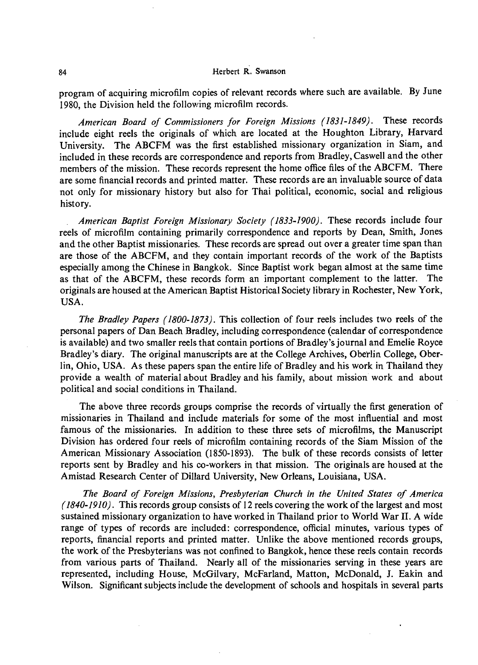program of acquiring microfilm copies of relevant records where such are available. By June 1980, the Division held the following microfilm records.

*American Board of Commissioners for Foreign Missions (1831-1849).* These records include eight reels the originals of which are located at the Houghton Library, Harvard University. The ABCFM was the first established missionary organization in Siam, and included in these records are correspondence and reports from Bradley, Caswell and the other members of the mission. These records represent the home office files of the ABCFM. There are some financial records and printed matter. These records are an invaluable source of data not only for missionary history but also for Thai political, economic, social and religious history.

*American Baptist Foreign Missionary Society (1833-1900).* These records include four reels of microfilm containing primarily correspondence and reports by Dean, Smith, Jones and the other Baptist missionaries. These records are spread out over a greater time span than are those of the ABCFM, and they contain important records of the work of the Baptists especially among the Chinese in Bangkok. Since Baptist work began almost at the same time as that of the ABCFM, these records form an important complement to the latter. The originals are housed at the American Baptist Historical Society library in Rochester, New York, USA.

*The Bradley Papers (1800-1873).* This collection of four reels includes two reels of the personal papers of Dan Beach Bradley, including correspondence (calendar of correspondence is available) and two smaller reels that contain portions of Bradley's journal and Emelie Royce Bradley's diary. The original manuscripts are at the College Archives, Oberlin College, Oberlin, Ohio, USA. As these papers span the entire life of Bradley and his work in Thailand they provide a wealth of material about Bradley and his family, about mission work and about political and social conditions in Thailand.

The above three records groups comprise the records of virtually the first generation of missionaries in Thailand and include materials for some of the most influential and most famous of the missionaries. In addition to these three sets of microfilms, the Manuscript Division has ordered four reels of microfilm containing records of the Siam Mission of the American Missionary Association (1850-1893). The bulk of these records consists of letter reports sent by Bradley and his co-workers in that mission. The originals are housed at the Amistad Research Center of Dillard University, New Orleans, Louisiana, USA.

The Board of Foreign Missions, Presbyterian Church in the United States of America *( 1840-1910).* This records group consists of 12 reels covering the work of the largest and most sustained missionary organization to have worked in Thailand prior to World War II. A wide range of types of records are included: correspondence, official minutes, various types of reports, financial reports and printed matter. Unlike the above mentioned records groups, the work of the Presbyterians was not confined to Bangkok, hence these reels contain records from various parts of Thailand. Nearly all of the missionaries serving in these years are represented, including House, McGilvary, McFarland, Matton, McDonald, J. Eakin and Wilson. Significant subjects include the development of schools and hospitals in several parts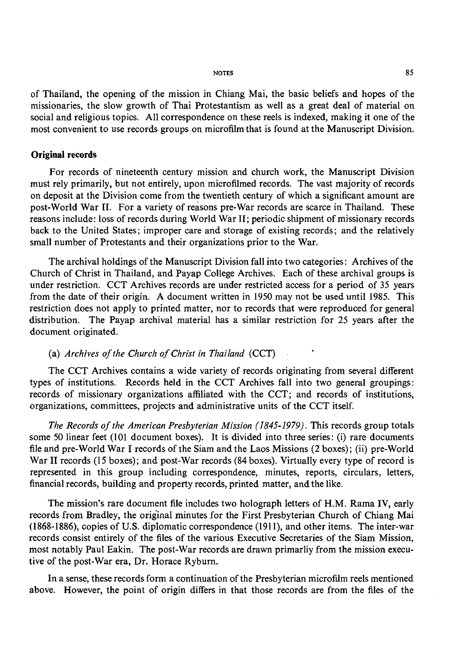of Thailand, the opening of the mission in Chiang Mai, the basic beliefs and hopes of the missionaries, the slow growth of Thai Protestantism as well as a great deal of material on social and religious topics. All correspondence on these reels is indexed, making it one of the most convenient to use records groups on microfilm that is found at the Manuscript Division.

## **Original records**

For records of nineteenth century mission and church work, the Manuscript Division must rely primarily, but not entirely, upon microfilmed records. The vast majority of records on deposit at the Division come from the twentieth century of which a significant amount are post-World War II. For a variety of reasons pre-War records are scarce in Thailand. These reasons include: loss of records during World War II; periodic shipment of missionary records back to the United States; improper care and storage of existing records; and the relatively small number of Protestants and their organizations prior to the War.

The archival holdings of the Manuscript Division fall into two categories: Archives of the Church of Christ in Thailand, and Payap College Archives. Each of these archival groups is under restriction. CCT Archives records are under restricted access for a period of 35 years from the date of their origin. A document written in 1950 may not be used until 1985. This restriction does not apply to printed matter, nor to records that were reproduced for general distribution. The Payap archival material has a similar restriction for 25 years after the document originated.

# (a) *Archives of the Church of Christ in Thailand* (CCT)

The CCT Archives contains a wide variety of records originating from several different types of institutions. Records held in the CCT Archives fall into two general groupings: records of missionary organizations affiliated with the CCT; and records of institutions, organizations, committees, projects and administrative units of the CCT itself.

*The Records of the American Presbyterian Mission ( 1845-1979).* This records group totals some 50 linear feet (101 document boxes). It is divided into three series: (i) rare documents file and pre-World War I records of the Siam and the Laos Missions (2 boxes); (ii) pre-World War II records (15 boxes); and post-War records (84 boxes). Virtually every type of record is represented in this group including correspondence, minutes, reports, circulars, letters, financial records, building and property records, printed matter, and the like.

The mission's rare document file includes two holograph letters of H.M. Rama IV, early records from Bradley, the original minutes for the First Presbyterian Church of Chiang Mai ( 1868-1886), copies of U.S. diplomatic correspondence (1911), and other items. The inter-war records consist entirely of the files of the various Executive Secretaries of the Siam Mission, most notably Paul Eakin. The post-War records are drawn primarliy from the mission executive of the post-War era, Dr. Horace Ryburn.

In a sense, these records form a continuation of the Presbyterian microfilm reels mentioned above. However, the point of origin differs in that those records are from the files of the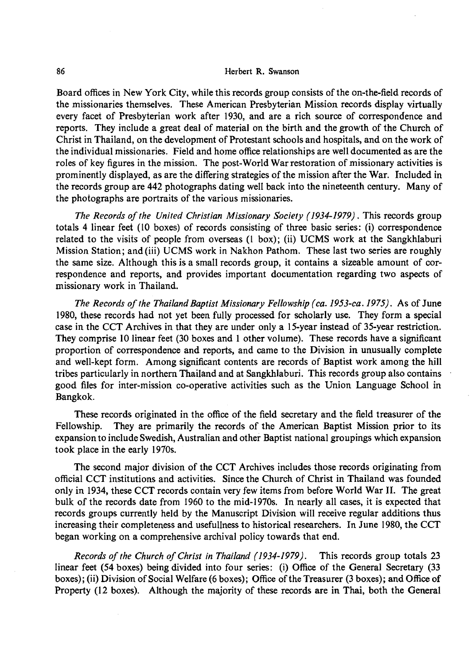## 86 Herbert R. Swanson

Board offices in New York City, while this records group consists of the on-the-field records of the missionaries themselves. These American Presbyterian Mission records display virtually every facet of Presbyterian work after 1930, and are a rich source of correspondence and reports. They include a great deal of material on the birth and the growth of the Church of Christ in Thailand, on the development of Protestant schools and hospitals, and on the work of the individual missionaries. Field and home office relationships are well documented as are the roles of key figures in the mission. The post-World War restoration of missionary activities is prominently displayed, as are the differing strategies of the mission after the War. Included in the records group are 442 photographs dating well back into the nineteenth century. Many of the photographs are portraits of the various missionaries.

*The Records of the United Christian Missionary Society ( 1934-1979).* This records group totals 4 linear feet (10 boxes) of records consisting of three basic series: (i) correspondence related to the visits of people from overseas (1 box); (ii) UCMS work at the Sangkhlaburi Mission Station; and (iii) UCMS work in Nakhon Pathom. These last two series are roughly the same size. Although this is a small records group, it contains a sizeable amount of correspondence and reports, and provides important documentation regarding two aspects of missionary work in Thailand.

*The Records of the Thailand Baptist Missionary Fellowship (ca. 1953-ca. 1975).* As of June 1980, these records had not yet been fully processed for scholarly use. They form a special case in the CCT Archives in that they are under only a 15-year instead of 35-year restriction. They comprise 10 linear feet (30 boxes and I other volume). These records have a significant proportion of correspondence and reports, and came to the Division in unusually complete and well-kept form. Among significant contents are records of Baptist work among the hill tribes particularly in northern Thailand and at Sangkhlaburi. This records group also contains good files for inter-mission co-operative activities such as the Union Language School in Bangkok.

These records originated in the office of the field secretary and the field treasurer of the Fellowship. They are primarily the records of the American Baptist Mission prior to its expansion to include Swedish, Australian and other Baptist national groupings which expansion took place in the early 1970s.

The second major division of the CCT Archives includes those records originating from official CCT institutions and activities. Since the Church of Christ in Thailand was founded only in 1934, these CCT records contain very few items from before World War II. The great bulk of the records date from 1960 to the mid-1970s. In nearly all cases, it is expected that records groups currently held by the Manuscript Division will receive regular additions thus increasing their completeness and usefullness to historical researchers. In June 1980, the CCT began working on a comprehensive archival policy towards that end.

*Records of the Church of Christ in Thailand ( 1934-1979).* This records group totals 23 linear feet (54 boxes) being divided into four series: (i) Office of the General Secretary (33 boxes); (ii) Division of Social Welfare (6 boxes); Office of the Treasurer (3 boxes); and Office of Property (12 boxes). Although the majority of these records are in Thai, both the General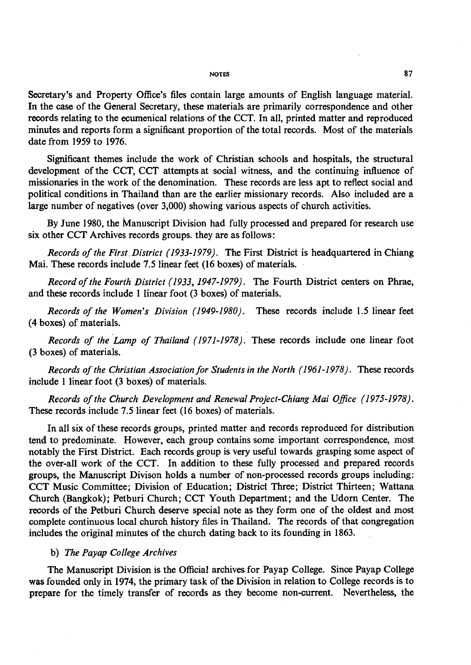#### NOTES 87

Secretary's and Property Office's files contain large amounts of English language material. In the case of the General Secretary, these materials are primarily correspondence and other records relating to the ecumenical relations of the CCT. In all, printed matter and reproduced minutes and reports form a significant proportion of the total records. Most of the materials date from 1959 to 1976.

Significant themes include the work of Christian schools and hospitals, the structural development of the CCT, CCT attempts at social witness, and the continuing influence of missionaries in the work of the denomination. These records are less apt to reflect social and political conditions in Thailand than are the earlier missionary records. Also included are a large number of negatives (over 3,000) showing various aspects of church activities.

By June 1980, the Manuscript Division had fully processed and prepared for research use six other CCT Archives records groups. they are as follows:

*Records of the First.District (1933-1979).* The First District is headquartered in Chiang Mai. These records include 7.5 linear feet (16 boxes) of materials.

*Record of the Fourth District ( 1933, 1947-1979).* The Fourth District centers on Phrae, and these records include 1 linear foot (3 boxes) of materials,

*Records of the Women's Division (1949-1980).* These records include 1.5 linear feet (4 boxes) of materials.

*Records of the ·Lamp of Thailand {1971-1978).* These records include one linear foot (3 boxes) of materials.

*Records of the Christian Association/or Students in the North (1961-1978).* These records include 1 linear foot (3 boxes) of materials.

*Records of the Church Development and Renewal Project-Chiang Mai Office ( 1975-1978).*  These records include 7.5 linear feet (16 boxes) of materials.

In all six of these records groups, printed matter and records reproduced for distribution tend to predominate. However, each group contains some important correspondence, most notably the First District. Each records group is very useful towards grasping some aspect of the over-all work of the CCT. In addition to these fully processed and prepared records groups, the Manuscript Divison holds a number of non-processed records groups including: CCT Music Committee; Division of Education; District Three; District Thirteen; Wattana Church (Bangkok); Petburi Church; CCT Youth Department; and the Udom Center. The records of the Petburi Church deserve special note as they form one of the oldest and most complete continuous local church history files in Thailand. The records of that congregation includes the original minutes of the church dating back to its founding in 1863.

## b) *The Payap College Archives*

The Manuscript Division is the Official archives for Payap College. Since Payap College was founded only in 1974, the primary task of the Division in relation to College records is to prepare for the timely transfer of records as they become non-current. Nevertheless, the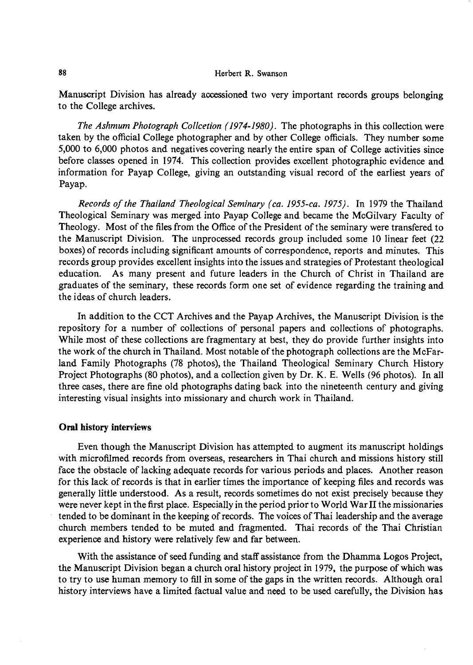Manuscript Division has already accessioned two very important records groups belonging to the College archives.

*The Ashmum Photograph Col/cetion ( 1974-1980}.* The photographs in this collection were taken by the official College photographer and by other College officials. They number some 5,000 to 6,000 photos and negatives covering nearly the entire span of College activities since before classes opened in 1974. This collection provides excellent photographic evidence and information for Payap College, giving an outstanding visual record of the earliest years of Payap.

*Records of the Thailand Theological Seminary (ca. 1955-ca. 1975).* In 1979 the Thailand Theological Seminary was merged into Payap College and became the McGilvary Faculty of Theology. Most of the files from the Office of the President of the seminary were transfered to the Manuscript Division. The unprocessed records group included some 10 linear feet (22 boxes) of records including significant amounts of correspondence, reports and minutes. This records group provides excellent insights into the issues and strategies of Protestant theological education. As many present and future leaders in the Church of Christ in Thailand are graduates of the seminary, these records form one set of evidence regarding the training and the ideas of church leaders.

In addition to the CCT Archives and the Payap Archives, the Manuscript Division is the repository for a number of collections of personal papers and collections of photographs. While most of these collections are fragmentary at best, they do provide further insights into the work of the church in Thailand. Most notable of the photograph collections are the McFarland Family Photographs (78 photos), the Thailand Theological Seminary Church History Project Photographs (80 photos), and a collection given by Dr. K. E. Wells (96 photos). In all three cases, there are fine old photographs dating back into the nineteenth century and giving interesting visual insights into missionary and church work in Thailand.

# Oral history interviews

Even though the Manuscript Division has attempted to augment its manuscript holdings with microfilmed records from overseas, researchers in Thai church and missions history still face the obstacle of lacking adequate records for various periods and places. Another reason for this lack of records is that in earlier times the importance of keeping files and records was generally little understood. As a result, records sometimes do not exist precisely because they were never kept in the first place. Especially in the period prior to World War II the missionaries tended to be dominant in the keeping of records. The voices of Thai leadership and the average church members tended to be muted and fragmented. Thai records of the Thai Christian experience and history were relatively few and far between.

With the assistance of seed funding and staff assistance from the Dhamma Logos Project, the Manuscript Division began a church oral history project in 1979, the purpose of which was to try to use human memory to fill in some of the gaps in the written records. Although oral history interviews have a limited factual value and need to be used carefully, the Division has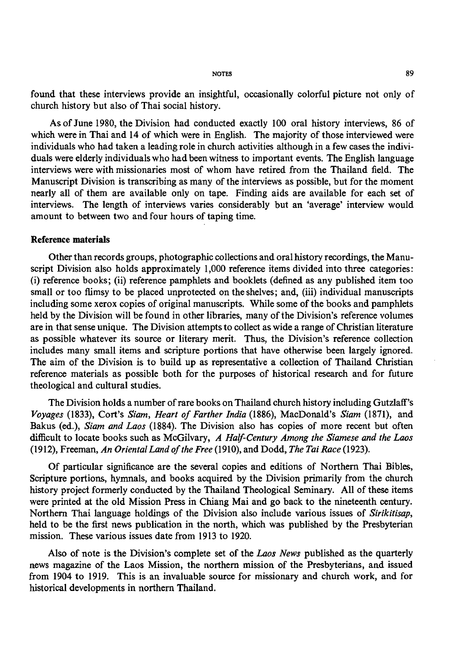found that these interviews provide an insightful, occasionally colorful picture not only of church history but also of Thai social history.

As of June 1980, the Division had conducted exactly 100 oral history interviews, 86 of which were in Thai and 14 of which were in English. The majority of those interviewed were individuals who had taken a leading role in church activities although in a few cases the individuals were elderly individuals who had been witness to important events. The English language interviews were with missionaries most of whom have retired from the Thailand field. The Manuscript Division is transcribing as many of the interviews as possible, but for the moment nearly all of them are available only on tape. Finding aids are available for each set of interviews. The length of interviews varies considerably but an 'average' interview would amount to between two and four hours of taping time.

## **Reference materials**

Other than records groups, photographic collections and oral history recordings, the Manuscript Division also holds approximately 1,000 reference items divided into three categories: (i) reference books; (ii) reference pamphlets and booklets (defined as any published item too small or too flimsy to be placed unprotected on the shelves; and, (iii) individual manuscripts including some xerox copies of original manuscripts. While some of the books and pamphlets held by the Division will be found in other libraries, many of the Division's reference volumes are in that sense unique. The Division attempts to collect as wide a range of Christian literature as possible whatever its source or literary merit. Thus, the Division's reference collection includes many small items and scripture portions that have otherwise been largely ignored. The aim of the Division is to build up as representative a collection of Thailand Christian reference materials as possible both for the purposes of historical research and for future theological and cultural studies.

The Division holds a number of rare books on Thailand church history including Gutzlaff's *Voyages* (1833), Cort's *Siam, Heart of Farther India* (1886), MacDonald's *Siam* (1871), and Bakus (ed.), *Siam and Laos* (1884). The Division also has copies of more recent but often difficult to locate books such as McGilvary, *A Half-Century Among the Siamese and the Laos*  (1912), Freeman, *An Oriental Land of the Free* (1910), and Dodd, *The Tai Race* (1923).

Of particular significance are the several copies and editions of Northern Thai Bibles, Scripture portions, hymnals, and books acquired by the Division primarily from the church history project formerly conducted by the Thailand Theological Seminary. All of these items were printed at the old Mission Press in Chiang Mai and go back to the nineteenth century. Northern Thai language holdings of the Division also include various issues of *Sirikitisap,*  held to be the first news publication in the north, which was published by the Presbyterian mission. These various issues date from 1913 to 1920.

Also of note is the Division's complete set of the *Laos News* published as the quarterly news magazine of the Laos Mission, the northern mission of the Presbyterians, and issued from 1904 to 1919. This is an invaluable source for missionary and church work, and for historical developments in northern Thailand.